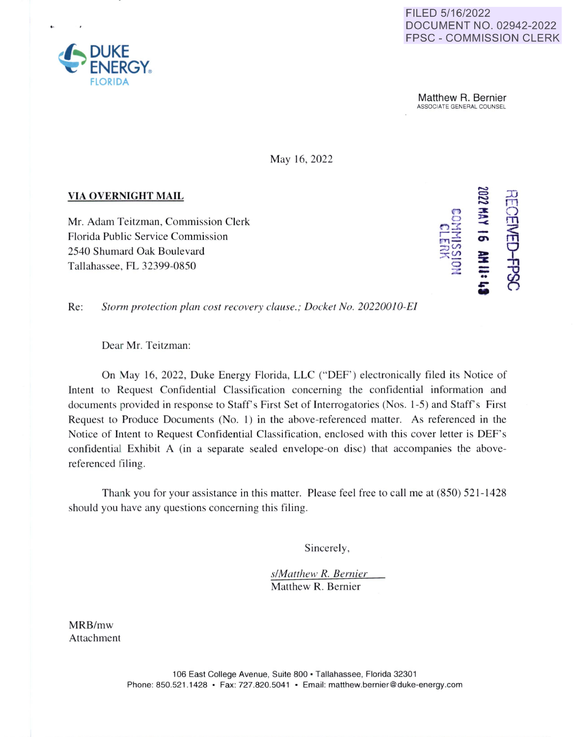## FILED 5/16/2022 DOCUMENT NO. 02942-2022 FPSC - COMMISSION CLERK

**Matthew R. Bernier**<br>ASSOCIATE GENERAL COUNSEL

May 16, 2022

## **VIA OVERNIGHT MAIL**

Mr. Adam Teitzman, Commission Clerk Florida Public Service Commission 2540 Shumard Oak Boulevard Tallahassee, FL 32399-0850



**Re:** *Storm protection plan cost recovery clause.; Docket No. 20220010-EI* 

Dear Mr. Teitzman:

On May 16, 2022, Duke Energy Florida, LLC ("DEF') electronically filed its Notice of Intent to Request Confidential Classification concerning the confidential information and documents provided in response to Staff's First Set of Interrogatories (Nos. 1-5) and Staff's First Request to Produce Documents (No. 1) in the above-referenced matter. As referenced in the Notice of Intent to Request Confidential Classification, enclosed with this cover letter is DEF's confidential Exhibit A (in a separate sealed envelope-on disc) that accompanies the abovereferenced filing.

Thank you for your assistance in this matter. Please feel free to call me at (850) 521-1428 should you have any questions concerning this filing.

Sincerely,

*s/Matthew R. Bernier*  Matthew R. Bernier

MRB/mw Attachment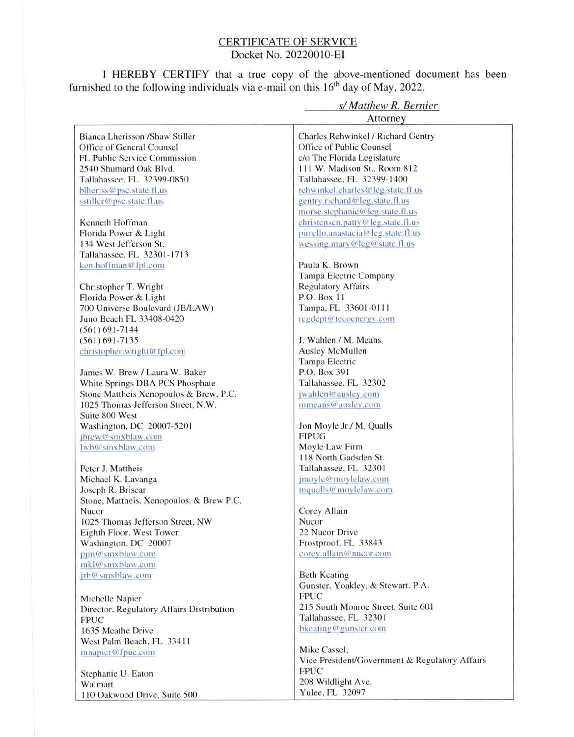## CERTIFICATE OF SERVICE Docket No. 20220010-EI

I HEREBY CERTlFY that a true copy of the above-mentioned document has been furnished to the following individuals via e-mail on this  $16<sup>th</sup>$  day of May, 2022.

|                                           | s/ Matthew R. Bernier                          |
|-------------------------------------------|------------------------------------------------|
|                                           | Attorney                                       |
| Bianca Lherisson /Shaw Stiller            | Charles Rehwinkel / Richard Gentry             |
| Office of General Counsel                 | Office of Public Counsel                       |
| <b>FL Public Service Commission</b>       | c/o The Florida Legislature                    |
| 2540 Shumard Oak Blvd.                    | 111 W. Madison St., Room 812                   |
| Tallahassee, FL 32399-0850                | Tallahassee, FL 32399-1400                     |
| blheriss@psc.state.fl.us                  | rehwinkel.charles@leg.state.fl.us              |
| sstiller@psc.state.fl.us                  | gentry.richard@leg.state.fl.us                 |
|                                           | morse.stephanie@leg.state.fl.us                |
| Kenneth Hoffman                           | christensen.patty@leg.state.fl.us              |
| Florida Power & Light                     | pirrello.anastacia@leg.state.fl.us             |
| 134 West Jefferson St.                    | wessing.mary@leg@state.fl.us                   |
| Tallahassee, FL 32301-1713                |                                                |
| ken.hoffman@fpl.com                       | Paula K. Brown                                 |
|                                           | Tampa Electric Company                         |
| Christopher T. Wright                     | <b>Regulatory Affairs</b>                      |
| Florida Power & Light                     | P.O. Box 11                                    |
| 700 Universe Boulevard (JB/LAW)           | Tampa, FL 33601-0111                           |
| Juno Beach FL 33408-0420                  | regdept@tecoenergy.com                         |
| $(561) 691 - 7144$                        |                                                |
| $(561) 691 - 7135$                        | J. Wahlen / M. Means                           |
| christopher.wright@fpl.com                | Ausley McMullen                                |
|                                           | Tampa Electric                                 |
| James W. Brew / Laura W. Baker            | P.O. Box 391                                   |
| White Springs DBA PCS Phosphate           | Tallahassee, FL 32302                          |
| Stone Mattheis Xenopoulos & Brew, P.C.    | jwahlen@ausley.com                             |
| 1025 Thomas Jefferson Street, N.W.        | mmeans@ausley.com                              |
| Suite 800 West                            |                                                |
| Washington, DC 20007-5201                 | Jon Moyle Jr./ M. Qualls                       |
| jbrew@smxblaw.com                         | <b>FIPUG</b>                                   |
| lwb@smxblaw.com                           | Moyle Law Firm                                 |
|                                           | 118 North Gadsden St.                          |
| Peter J. Mattheis                         | Tallahassee, FL 32301                          |
| Michael K. Lavanga                        | jmoyle@moylelaw.com                            |
| Joseph R. Briscar                         | mqualls@moylelaw.com                           |
| Stone, Mattheis, Xenopoulos, & Brew P.C.  |                                                |
| Nucor                                     | Corey Allain                                   |
| 1025 Thomas Jefferson Street, NW          | Nucor                                          |
| Eighth Floor, West Tower                  | 22 Nucor Drive                                 |
| Washington, DC 20007                      | Frostproof, FL 33843                           |
| pjm@smxblaw.com                           | corey.allain@nucor.com                         |
| mkl@smxblaw.com                           |                                                |
| jrb@smxblaw.com                           | <b>Beth Keating</b>                            |
|                                           | Gunster, Yoakley, & Stewart, P.A.              |
| Michelle Napier                           | <b>FPUC</b>                                    |
| Director, Regulatory Affairs Distribution | 215 South Monroe Street, Suite 601             |
| <b>FPUC</b>                               | Tallahassee, FL 32301                          |
| 1635 Meathe Drive                         | bkeating@gunster.com                           |
|                                           |                                                |
| West Palm Beach, FL 33411                 | Mike Cassel,                                   |
| mnapier@fpuc.com                          | Vice President/Government & Regulatory Affairs |
|                                           | <b>FPUC</b>                                    |
| Stephanie U. Eaton                        | 208 Wildlight Ave.                             |
| Walmart                                   | Yulee, FL 32097                                |
| 110 Oakwood Drive, Suite 500              |                                                |